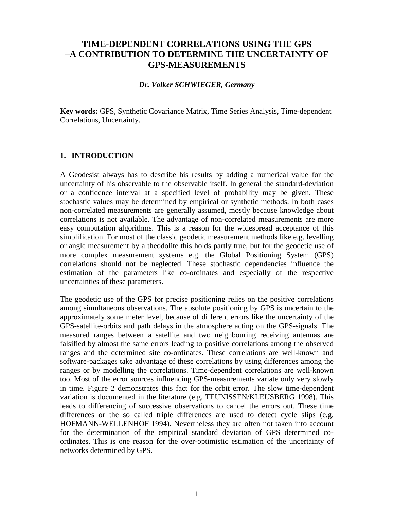# **TIME-DEPENDENT CORRELATIONS USING THE GPS –A CONTRIBUTION TO DETERMINE THE UNCERTAINTY OF GPS-MEASUREMENTS**

#### *Dr. Volker SCHWIEGER, Germany*

**Key words:** GPS, Synthetic Covariance Matrix, Time Series Analysis, Time-dependent Correlations, Uncertainty.

#### **1. INTRODUCTION**

A Geodesist always has to describe his results by adding a numerical value for the uncertainty of his observable to the observable itself. In general the standard-deviation or a confidence interval at a specified level of probability may be given. These stochastic values may be determined by empirical or synthetic methods. In both cases non-correlated measurements are generally assumed, mostly because knowledge about correlations is not available. The advantage of non-correlated measurements are more easy computation algorithms. This is a reason for the widespread acceptance of this simplification. For most of the classic geodetic measurement methods like e.g. levelling or angle measurement by a theodolite this holds partly true, but for the geodetic use of more complex measurement systems e.g. the Global Positioning System (GPS) correlations should not be neglected. These stochastic dependencies influence the estimation of the parameters like co-ordinates and especially of the respective uncertainties of these parameters.

The geodetic use of the GPS for precise positioning relies on the positive correlations among simultaneous observations. The absolute positioning by GPS is uncertain to the approximately some meter level, because of different errors like the uncertainty of the GPS-satellite-orbits and path delays in the atmosphere acting on the GPS-signals. The measured ranges between a satellite and two neighbouring receiving antennas are falsified by almost the same errors leading to positive correlations among the observed ranges and the determined site co-ordinates. These correlations are well-known and software-packages take advantage of these correlations by using differences among the ranges or by modelling the correlations. Time-dependent correlations are well-known too. Most of the error sources influencing GPS-measurements variate only very slowly in time. Figure 2 demonstrates this fact for the orbit error. The slow time-dependent variation is documented in the literature (e.g. TEUNISSEN/KLEUSBERG 1998). This leads to differencing of successive observations to cancel the errors out. These time differences or the so called triple differences are used to detect cycle slips (e.g. HOFMANN-WELLENHOF 1994). Nevertheless they are often not taken into account for the determination of the empirical standard deviation of GPS determined coordinates. This is one reason for the over-optimistic estimation of the uncertainty of networks determined by GPS.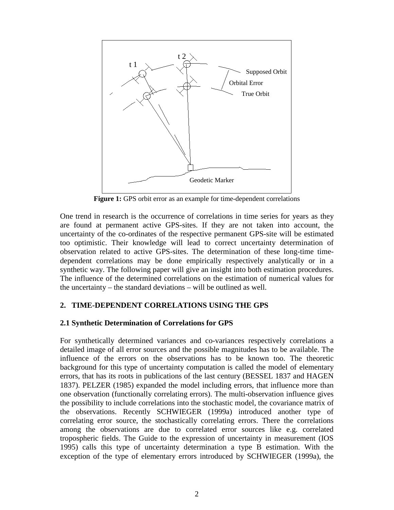

**Figure 1:** GPS orbit error as an example for time-dependent correlations

One trend in research is the occurrence of correlations in time series for years as they are found at permanent active GPS-sites. If they are not taken into account, the uncertainty of the co-ordinates of the respective permanent GPS-site will be estimated too optimistic. Their knowledge will lead to correct uncertainty determination of observation related to active GPS-sites. The determination of these long-time timedependent correlations may be done empirically respectively analytically or in a synthetic way. The following paper will give an insight into both estimation procedures. The influence of the determined correlations on the estimation of numerical values for the uncertainty – the standard deviations – will be outlined as well.

## **2. TIME-DEPENDENT CORRELATIONS USING THE GPS**

#### **2.1 Synthetic Determination of Correlations for GPS**

For synthetically determined variances and co-variances respectively correlations a detailed image of all error sources and the possible magnitudes has to be available. The influence of the errors on the observations has to be known too. The theoretic background for this type of uncertainty computation is called the model of elementary errors, that has its roots in publications of the last century (BESSEL 1837 and HAGEN 1837). PELZER (1985) expanded the model including errors, that influence more than one observation (functionally correlating errors). The multi-observation influence gives the possibility to include correlations into the stochastic model, the covariance matrix of the observations. Recently SCHWIEGER (1999a) introduced another type of correlating error source, the stochastically correlating errors. There the correlations among the observations are due to correlated error sources like e.g. correlated tropospheric fields. The Guide to the expression of uncertainty in measurement (IOS 1995) calls this type of uncertainty determination a type B estimation. With the exception of the type of elementary errors introduced by SCHWIEGER (1999a), the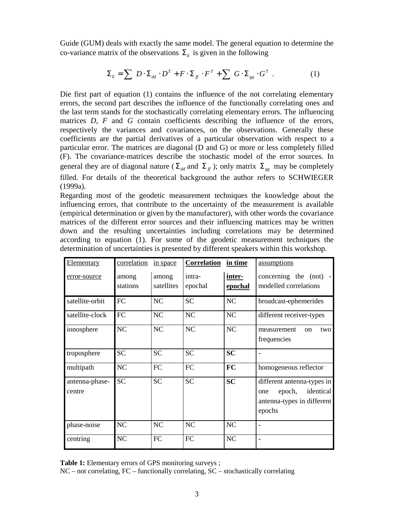Guide (GUM) deals with exactly the same model. The general equation to determine the co-variance matrix of the observations  $\Sigma_{\nu}$  is given in the following

$$
\Sigma_{ll} = \sum D \cdot \Sigma_{dd} \cdot D^T + F \cdot \Sigma_{ff} \cdot F^T + \sum G \cdot \Sigma_{gg} \cdot G^T . \qquad (1)
$$

Die first part of equation (1) contains the influence of the not correlating elementary errors, the second part describes the influence of the functionally correlating ones and the last term stands for the stochastically correlating elementary errors. The influencing matrices *D*, *F* and *G* contain coefficients describing the influence of the errors, respectively the variances and covariances, on the observations. Generally these coefficients are the partial derivatives of a particular observation with respect to a particular error. The matrices are diagonal (D and G) or more or less completely filled (F). The covariance-matrices describe the stochastic model of the error sources. In general they are of diagonal nature ( $\Sigma_{dd}$  and  $\Sigma_f$ ); only matrix  $\Sigma_{gg}$  may be completely filled. For details of the theoretical background the author refers to SCHWIEGER (1999a).

Regarding most of the geodetic measurement techniques the knowledge about the influencing errors, that contribute to the uncertainty of the measurement is available (empirical determination or given by the manufacturer), with other words the covariance matrices of the different error sources and their influencing matrices may be written down and the resulting uncertainties including correlations may be determined according to equation (1). For some of the geodetic measurement techniques the determination of uncertainties is presented by different speakers within this workshop.

| Elementary               | correlation | in space   | <b>Correlation</b> | in time        | assumptions                                                                                      |
|--------------------------|-------------|------------|--------------------|----------------|--------------------------------------------------------------------------------------------------|
| error-source             | among       | among      | intra-             | inter-         | concerning the (not) -                                                                           |
|                          | stations    | satellites | epochal            | <u>epochal</u> | modelled correlations                                                                            |
| satellite-orbit          | FC          | <b>NC</b>  | <b>SC</b>          | NC             | broadcast-ephemerides                                                                            |
| satellite-clock          | FC          | <b>NC</b>  | NC                 | NC             | different receiver-types                                                                         |
| ionosphere               | NC          | <b>NC</b>  | <b>NC</b>          | NC             | two<br>measurement<br><sub>on</sub><br>frequencies                                               |
| troposphere              | <b>SC</b>   | <b>SC</b>  | <b>SC</b>          | <b>SC</b>      |                                                                                                  |
| multipath                | NC          | FC         | FC                 | FC             | homogeneous reflector                                                                            |
| antenna-phase-<br>centre | <b>SC</b>   | <b>SC</b>  | <b>SC</b>          | <b>SC</b>      | different antenna-types in<br>identical<br>epoch,<br>one<br>antenna-types in different<br>epochs |
| phase-noise              | NC          | NC         | NC                 | NC             |                                                                                                  |
| centring                 | NC          | FC         | FC                 | NC             |                                                                                                  |

**Table 1:** Elementary errors of GPS monitoring surveys ;

NC – not correlating, FC – functionally correlating, SC – stochastically correlating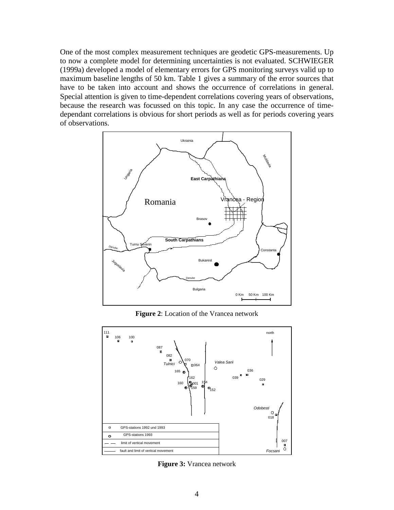One of the most complex measurement techniques are geodetic GPS-measurements. Up to now a complete model for determining uncertainties is not evaluated. SCHWIEGER (1999a) developed a model of elementary errors for GPS monitoring surveys valid up to maximum baseline lengths of 50 km. Table 1 gives a summary of the error sources that have to be taken into account and shows the occurrence of correlations in general. Special attention is given to time-dependent correlations covering years of observations, because the research was focussed on this topic. In any case the occurrence of timedependant correlations is obvious for short periods as well as for periods covering years of observations.



**Figure 2**: Location of the Vrancea network



**Figure 3:** Vrancea network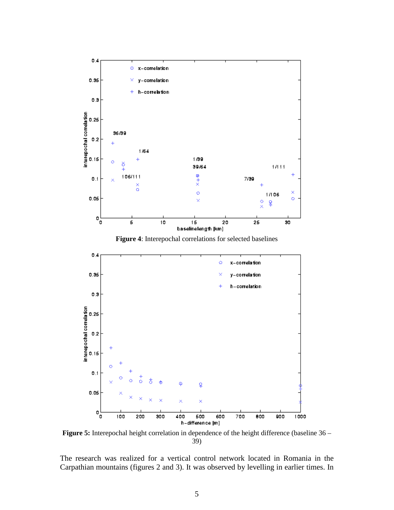

**Figure 4**: Interepochal correlations for selected baselines



**Figure 5:** Interepochal height correlation in dependence of the height difference (baseline 36 – 39)

The research was realized for a vertical control network located in Romania in the Carpathian mountains (figures 2 and 3). It was observed by levelling in earlier times. In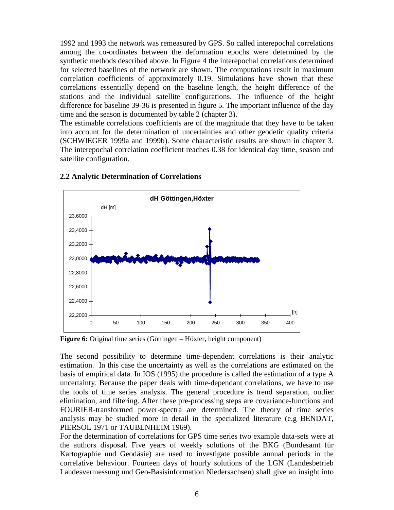1992 and 1993 the network was remeasured by GPS. So called interepochal correlations among the co-ordinates between the deformation epochs were determined by the synthetic methods described above. In Figure 4 the interepochal correlations determined for selected baselines of the network are shown. The computations result in maximum correlation coefficients of approximately 0.19. Simulations have shown that these correlations essentially depend on the baseline length, the height difference of the stations and the individual satellite configurations. The influence of the height difference for baseline 39-36 is presented in figure 5. The important influence of the day time and the season is documented by table 2 (chapter 3).

The estimable correlations coefficients are of the magnitude that they have to be taken into account for the determination of uncertainties and other geodetic quality criteria (SCHWIEGER 1999a and 1999b). Some characteristic results are shown in chapter 3. The interepochal correlation coefficient reaches 0.38 for identical day time, season and satellite configuration.



#### **2.2 Analytic Determination of Correlations**

**Figure 6:** Original time series (Göttingen – Höxter, height component)

The second possibility to determine time-dependent correlations is their analytic estimation. In this case the uncertainty as well as the correlations are estimated on the basis of empirical data. In IOS (1995) the procedure is called the estimation of a type A uncertainty. Because the paper deals with time-dependant correlations, we have to use the tools of time series analysis. The general procedure is trend separation, outlier elimination, and filtering. After these pre-processing steps are covariance-functions and FOURIER-transformed power-spectra are determined. The theory of time series analysis may be studied more in detail in the specialized literature (e.g BENDAT, PIERSOL 1971 or TAUBENHEIM 1969).

For the determination of correlations for GPS time series two example data-sets were at the authors disposal. Five years of weekly solutions of the BKG (Bundesamt für Kartographie und Geodäsie) are used to investigate possible annual periods in the correlative behaviour. Fourteen days of hourly solutions of the LGN (Landesbetrieb Landesvermessung und Geo-Basisinformation Niedersachsen) shall give an insight into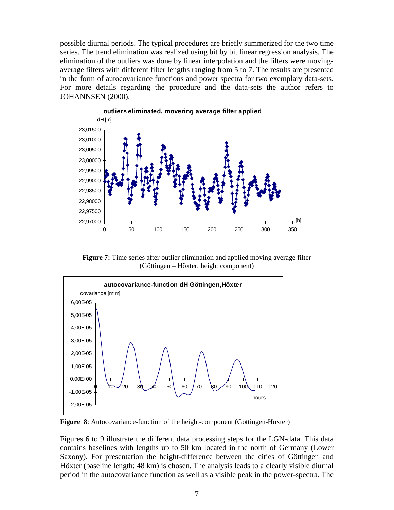possible diurnal periods. The typical procedures are briefly summerized for the two time series. The trend elimination was realized using bit by bit linear regression analysis. The elimination of the outliers was done by linear interpolation and the filters were movingaverage filters with different filter lengths ranging from 5 to 7. The results are presented in the form of autocovariance functions and power spectra for two exemplary data-sets. For more details regarding the procedure and the data-sets the author refers to JOHANNSEN (2000).



**Figure 7:** Time series after outlier elimination and applied moving average filter (Göttingen – Höxter, height component)



**Figure 8**: Autocovariance-function of the height-component (Göttingen-Höxter)

Figures 6 to 9 illustrate the different data processing steps for the LGN-data. This data contains baselines with lengths up to 50 km located in the north of Germany (Lower Saxony). For presentation the height-difference between the cities of Göttingen and Höxter (baseline length: 48 km) is chosen. The analysis leads to a clearly visible diurnal period in the autocovariance function as well as a visible peak in the power-spectra. The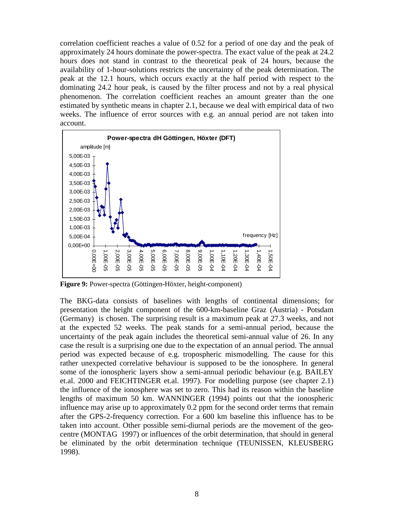correlation coefficient reaches a value of 0.52 for a period of one day and the peak of approximately 24 hours dominate the power-spectra. The exact value of the peak at 24.2 hours does not stand in contrast to the theoretical peak of 24 hours, because the availability of 1-hour-solutions restricts the uncertainty of the peak determination. The peak at the 12.1 hours, which occurs exactly at the half period with respect to the dominating 24.2 hour peak, is caused by the filter process and not by a real physical phenomenon. The correlation coefficient reaches an amount greater than the one estimated by synthetic means in chapter 2.1, because we deal with empirical data of two weeks. The influence of error sources with e.g. an annual period are not taken into account.



**Figure 9:** Power-spectra (Göttingen-Höxter, height-component)

The BKG-data consists of baselines with lengths of continental dimensions; for presentation the height component of the 600-km-baseline Graz (Austria) - Potsdam (Germany) is chosen. The surprising result is a maximum peak at 27.3 weeks, and not at the expected 52 weeks. The peak stands for a semi-annual period, because the uncertainty of the peak again includes the theoretical semi-annual value of 26. In any case the result is a surprising one due to the expectation of an annual period. The annual period was expected because of e.g. tropospheric mismodelling. The cause for this rather unexpected correlative behaviour is supposed to be the ionosphere. In general some of the ionospheric layers show a semi-annual periodic behaviour (e.g. BAILEY et.al. 2000 and FEICHTINGER et.al. 1997). For modelling purpose (see chapter 2.1) the influence of the ionosphere was set to zero. This had its reason within the baseline lengths of maximum 50 km. WANNINGER (1994) points out that the ionospheric influence may arise up to approximately 0.2 ppm for the second order terms that remain after the GPS-2-frequency correction. For a 600 km baseline this influence has to be taken into account. Other possible semi-diurnal periods are the movement of the geocentre (MONTAG 1997) or influences of the orbit determination, that should in general be eliminated by the orbit determination technique (TEUNISSEN, KLEUSBERG 1998).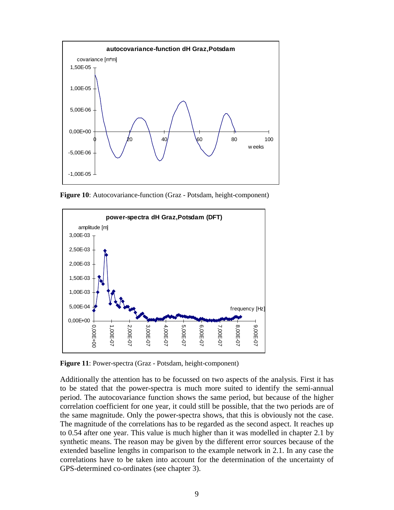

**Figure 10**: Autocovariance-function (Graz - Potsdam, height-component)



**Figure 11**: Power-spectra (Graz - Potsdam, height-component)

Additionally the attention has to be focussed on two aspects of the analysis. First it has to be stated that the power-spectra is much more suited to identify the semi-annual period. The autocovariance function shows the same period, but because of the higher correlation coefficient for one year, it could still be possible, that the two periods are of the same magnitude. Only the power-spectra shows, that this is obviously not the case. The magnitude of the correlations has to be regarded as the second aspect. It reaches up to 0.54 after one year. This value is much higher than it was modelled in chapter 2.1 by synthetic means. The reason may be given by the different error sources because of the extended baseline lengths in comparison to the example network in 2.1. In any case the correlations have to be taken into account for the determination of the uncertainty of GPS-determined co-ordinates (see chapter 3).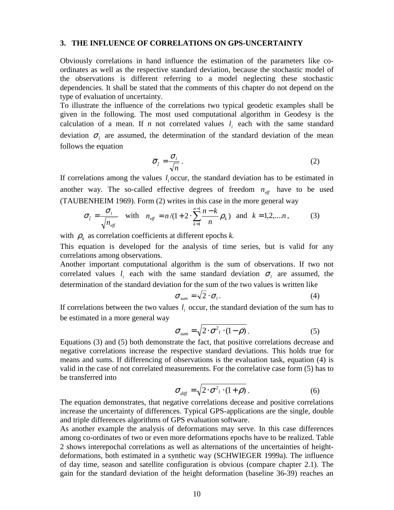#### **3. THE INFLUENCE OF CORRELATIONS ON GPS-UNCERTAINTY**

Obviously correlations in hand influence the estimation of the parameters like coordinates as well as the respective standard deviation, because the stochastic model of the observations is different referring to a model neglecting these stochastic dependencies. It shall be stated that the comments of this chapter do not depend on the type of evaluation of uncertainty.

To illustrate the influence of the correlations two typical geodetic examples shall be given in the following. The most used computational algorithm in Geodesy is the calculation of a mean. If *n* not correlated values  $l_i$  each with the same standard deviation  $\sigma_l$  are assumed, the determination of the standard deviation of the mean follows the equation

$$
\overline{\sigma}_{\overline{i}} = \frac{\sigma_i}{\sqrt{n}} \,. \tag{2}
$$

If correlations among the values *<sup>i</sup> l* occur, the standard deviation has to be estimated in another way. The so-called effective degrees of freedom  $n_{\text{eff}}$  have to be used (TAUBENHEIM 1969). Form (2) writes in this case in the more general way

$$
\sigma_{\bar{l}} = \frac{\sigma_{l}}{\sqrt{n_{\text{eff}}}} \quad \text{with} \quad n_{\text{eff}} = n/(1+2 \cdot \sum_{k=1}^{n-1} \frac{n-k}{n} \rho_k) \quad \text{and} \quad k = 1, 2, \dots n, \tag{3}
$$

with  $\rho_k$  as correlation coefficients at different epochs *k*.

This equation is developed for the analysis of time series, but is valid for any correlations among observations.

Another important computational algorithm is the sum of observations. If two not correlated values  $l_i$  each with the same standard deviation  $\sigma_i$  are assumed, the determination of the standard deviation for the sum of the two values is written like

$$
\sigma_{sum} = \sqrt{2} \cdot \sigma_l. \tag{4}
$$

If correlations between the two values  $l_i$  occur, the standard deviation of the sum has to be estimated in a more general way

$$
\sigma_{sum} = \sqrt{2 \cdot \sigma^2 / (1 - \rho)}.
$$
 (5)

Equations (3) and (5) both demonstrate the fact, that positive correlations decrease and negative correlations increase the respective standard deviations. This holds true for means and sums. If differencing of observations is the evaluation task, equation (4) is valid in the case of not correlated measurements. For the correlative case form (5) has to be transferred into

$$
\sigma_{\text{diff}} = \sqrt{2 \cdot \sigma^2 / (1 + \rho)} \,. \tag{6}
$$

The equation demonstrates, that negative correlations decease and positive correlations increase the uncertainty of differences. Typical GPS-applications are the single, double and triple differences algorithms of GPS evaluation software.

As another example the analysis of deformations may serve. In this case differences among co-ordinates of two or even more deformations epochs have to be realized. Table 2 shows interepochal correlations as well as alternations of the uncertainties of heightdeformations, both estimated in a synthetic way (SCHWIEGER 1999a). The influence of day time, season and satellite configuration is obvious (compare chapter 2.1). The gain for the standard deviation of the height deformation (baseline 36-39) reaches an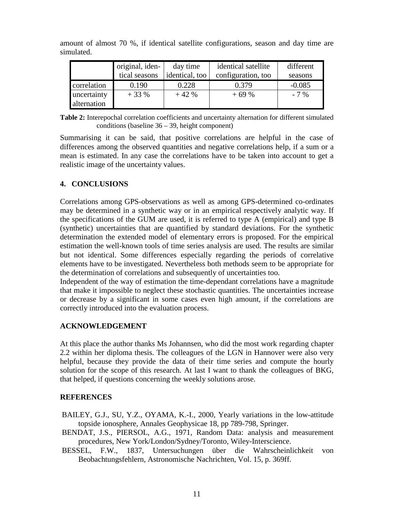|             | original, iden- | day time       | identical satellite | different |
|-------------|-----------------|----------------|---------------------|-----------|
|             | tical seasons   | identical, too | configuration, too  | seasons   |
| correlation | 0.190           | 0.228          | 0.379               | $-0.085$  |
| uncertainty | $+33%$          | $+42%$         | $+69%$              | $-7\%$    |
| alternation |                 |                |                     |           |

amount of almost 70 %, if identical satellite configurations, season and day time are simulated.

**Table 2:** Interepochal correlation coefficients and uncertainty alternation for different simulated conditions (baseline 36 – 39, height component)

Summarising it can be said, that positive correlations are helpful in the case of differences among the observed quantities and negative correlations help, if a sum or a mean is estimated. In any case the correlations have to be taken into account to get a realistic image of the uncertainty values.

## **4. CONCLUSIONS**

Correlations among GPS-observations as well as among GPS-determined co-ordinates may be determined in a synthetic way or in an empirical respectively analytic way. If the specifications of the GUM are used, it is referred to type A (empirical) and type B (synthetic) uncertainties that are quantified by standard deviations. For the synthetic determination the extended model of elementary errors is proposed. For the empirical estimation the well-known tools of time series analysis are used. The results are similar but not identical. Some differences especially regarding the periods of correlative elements have to be investigated. Nevertheless both methods seem to be appropriate for the determination of correlations and subsequently of uncertainties too.

Independent of the way of estimation the time-dependant correlations have a magnitude that make it impossible to neglect these stochastic quantities. The uncertainties increase or decrease by a significant in some cases even high amount, if the correlations are correctly introduced into the evaluation process.

## **ACKNOWLEDGEMENT**

At this place the author thanks Ms Johannsen, who did the most work regarding chapter 2.2 within her diploma thesis. The colleagues of the LGN in Hannover were also very helpful, because they provide the data of their time series and compute the hourly solution for the scope of this research. At last I want to thank the colleagues of BKG, that helped, if questions concerning the weekly solutions arose.

## **REFERENCES**

- BAILEY, G.J., SU, Y.Z., OYAMA, K.-I., 2000, Yearly variations in the low-attitude topside ionosphere, Annales Geophysicae 18, pp 789-798, Springer.
- BENDAT, J.S., PIERSOL, A.G., 1971, Random Data: analysis and measurement procedures, New York/London/Sydney/Toronto, Wiley-Interscience.
- BESSEL, F.W., 1837, Untersuchungen über die Wahrscheinlichkeit von Beobachtungsfehlern, Astronomische Nachrichten, Vol. 15, p. 369ff.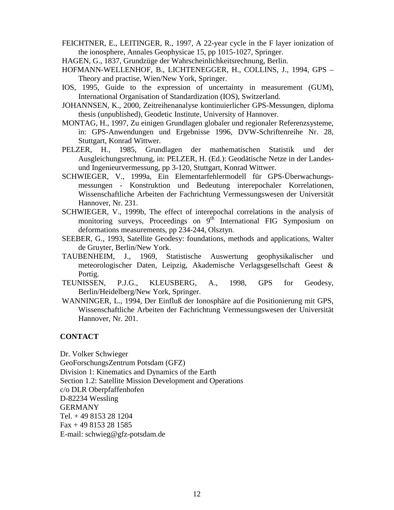FEICHTNER, E., LEITINGER, R., 1997, A 22-year cycle in the F layer ionization of the ionosphere, Annales Geophysicae 15, pp 1015-1027, Springer.

HAGEN, G., 1837, Grundzüge der Wahrscheinlichkeitsrechnung, Berlin.

- HOFMANN-WELLENHOF, B., LICHTENEGGER, H., COLLINS, J., 1994, GPS Theory and practise, Wien/New York, Springer.
- IOS, 1995, Guide to the expression of uncertainty in measurement (GUM), International Organisation of Standardization (IOS), Switzerland.
- JOHANNSEN, K., 2000, Zeitreihenanalyse kontinuierlicher GPS-Messungen, diploma thesis (unpublished), Geodetic Institute, University of Hannover.
- MONTAG, H., 1997, Zu einigen Grundlagen globaler und regionaler Referenzsysteme, in: GPS-Anwendungen und Ergebnisse 1996, DVW-Schriftenreihe Nr. 28, Stuttgart, Konrad Wittwer.
- PELZER, H., 1985, Grundlagen der mathematischen Statistik und der Ausgleichungsrechnung, in: PELZER, H. (Ed.): Geodätische Netze in der Landesund Ingenieurvermessung, pp 3-120, Stuttgart, Konrad Wittwer.
- SCHWIEGER, V., 1999a, Ein Elementarfehlermodell für GPS-Überwachungsmessungen - Konstruktion und Bedeutung interepochaler Korrelationen, Wissenschaftliche Arbeiten der Fachrichtung Vermessungswesen der Universität Hannover, Nr. 231.
- SCHWIEGER, V., 1999b, The effect of interepochal correlations in the analysis of monitoring surveys, Proceedings on  $9<sup>th</sup>$  International FIG Symposium on deformations measurements, pp 234-244, Olsztyn.
- SEEBER, G., 1993, Satellite Geodesy: foundations, methods and applications, Walter de Gruyter, Berlin/New York.
- TAUBENHEIM, J., 1969, Statistische Auswertung geophysikalischer und meteorologischer Daten, Leipzig, Akademische Verlagsgesellschaft Geest & Portig.
- TEUNISSEN, P.J.G., KLEUSBERG, A., 1998, GPS for Geodesy, Berlin/Heidelberg/New York, Springer.
- WANNINGER, L., 1994, Der Einfluß der Ionosphäre auf die Positionierung mit GPS, Wissenschaftliche Arbeiten der Fachrichtung Vermessungswesen der Universität Hannover, Nr. 201.

#### **CONTACT**

Dr. Volker Schwieger

GeoForschungsZentrum Potsdam (GFZ)

Division 1: Kinematics and Dynamics of the Earth

Section 1.2: Satellite Mission Development and Operations

c/o DLR Oberpfaffenhofen

D-82234 Wessling

GERMANY

Tel. + 49 8153 28 1204

Fax + 49 8153 28 1585

E-mail: schwieg@gfz-potsdam.de